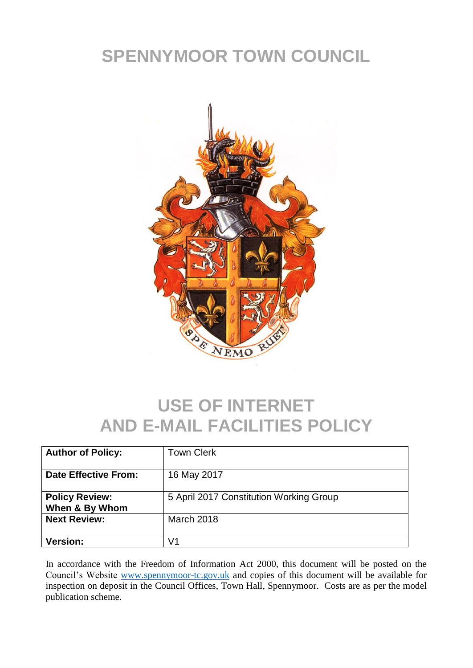## **SPENNYMOOR TOWN COUNCIL**



## **USE OF INTERNET AND E-MAIL FACILITIES POLICY**

| <b>Author of Policy:</b>                | <b>Town Clerk</b>                       |
|-----------------------------------------|-----------------------------------------|
| <b>Date Effective From:</b>             | 16 May 2017                             |
| <b>Policy Review:</b><br>When & By Whom | 5 April 2017 Constitution Working Group |
| <b>Next Review:</b>                     | <b>March 2018</b>                       |
| <b>Version:</b>                         | V1                                      |

In accordance with the Freedom of Information Act 2000, this document will be posted on the Council's Website [www.spennymoor-tc.gov.uk](http://www.spennymoor-tc.gov.uk/) and copies of this document will be available for inspection on deposit in the Council Offices, Town Hall, Spennymoor. Costs are as per the model publication scheme.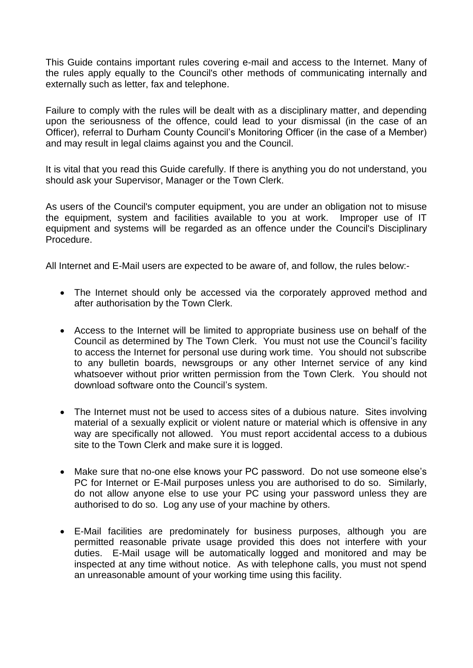This Guide contains important rules covering e-mail and access to the Internet. Many of the rules apply equally to the Council's other methods of communicating internally and externally such as letter, fax and telephone.

Failure to comply with the rules will be dealt with as a disciplinary matter, and depending upon the seriousness of the offence, could lead to your dismissal (in the case of an Officer), referral to Durham County Council's Monitoring Officer (in the case of a Member) and may result in legal claims against you and the Council.

It is vital that you read this Guide carefully. If there is anything you do not understand, you should ask your Supervisor, Manager or the Town Clerk.

As users of the Council's computer equipment, you are under an obligation not to misuse the equipment, system and facilities available to you at work. Improper use of IT equipment and systems will be regarded as an offence under the Council's Disciplinary Procedure.

All Internet and E-Mail users are expected to be aware of, and follow, the rules below:-

- The Internet should only be accessed via the corporately approved method and after authorisation by the Town Clerk.
- Access to the Internet will be limited to appropriate business use on behalf of the Council as determined by The Town Clerk. You must not use the Council's facility to access the Internet for personal use during work time. You should not subscribe to any bulletin boards, newsgroups or any other Internet service of any kind whatsoever without prior written permission from the Town Clerk. You should not download software onto the Council's system.
- The Internet must not be used to access sites of a dubious nature. Sites involving material of a sexually explicit or violent nature or material which is offensive in any way are specifically not allowed. You must report accidental access to a dubious site to the Town Clerk and make sure it is logged.
- Make sure that no-one else knows your PC password. Do not use someone else's PC for Internet or E-Mail purposes unless you are authorised to do so. Similarly, do not allow anyone else to use your PC using your password unless they are authorised to do so. Log any use of your machine by others.
- E-Mail facilities are predominately for business purposes, although you are permitted reasonable private usage provided this does not interfere with your duties. E-Mail usage will be automatically logged and monitored and may be inspected at any time without notice. As with telephone calls, you must not spend an unreasonable amount of your working time using this facility.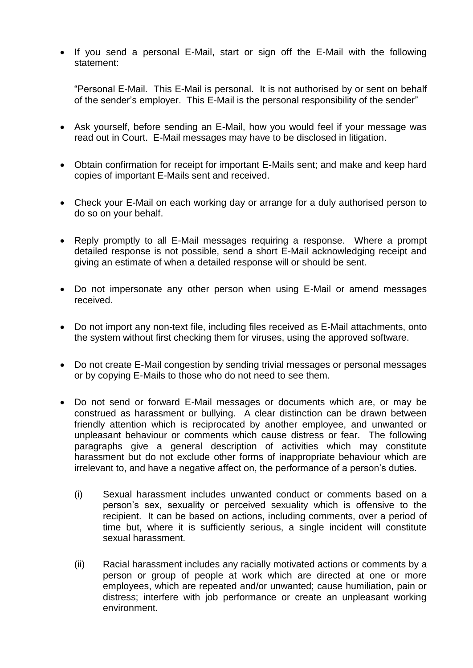• If you send a personal E-Mail, start or sign off the E-Mail with the following statement:

"Personal E-Mail. This E-Mail is personal. It is not authorised by or sent on behalf of the sender's employer. This E-Mail is the personal responsibility of the sender"

- Ask yourself, before sending an E-Mail, how you would feel if your message was read out in Court. E-Mail messages may have to be disclosed in litigation.
- Obtain confirmation for receipt for important E-Mails sent; and make and keep hard copies of important E-Mails sent and received.
- Check your E-Mail on each working day or arrange for a duly authorised person to do so on your behalf.
- Reply promptly to all E-Mail messages requiring a response. Where a prompt detailed response is not possible, send a short E-Mail acknowledging receipt and giving an estimate of when a detailed response will or should be sent.
- Do not impersonate any other person when using E-Mail or amend messages received.
- Do not import any non-text file, including files received as E-Mail attachments, onto the system without first checking them for viruses, using the approved software.
- Do not create E-Mail congestion by sending trivial messages or personal messages or by copying E-Mails to those who do not need to see them.
- Do not send or forward E-Mail messages or documents which are, or may be construed as harassment or bullying. A clear distinction can be drawn between friendly attention which is reciprocated by another employee, and unwanted or unpleasant behaviour or comments which cause distress or fear. The following paragraphs give a general description of activities which may constitute harassment but do not exclude other forms of inappropriate behaviour which are irrelevant to, and have a negative affect on, the performance of a person's duties.
	- (i) Sexual harassment includes unwanted conduct or comments based on a person's sex, sexuality or perceived sexuality which is offensive to the recipient. It can be based on actions, including comments, over a period of time but, where it is sufficiently serious, a single incident will constitute sexual harassment.
	- (ii) Racial harassment includes any racially motivated actions or comments by a person or group of people at work which are directed at one or more employees, which are repeated and/or unwanted; cause humiliation, pain or distress; interfere with job performance or create an unpleasant working environment.